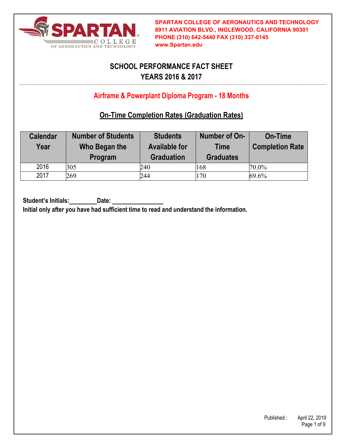

# **SCHOOL PERFORMANCE FACT SHEET YEARS 2016 & 2017**

## **Airframe & Powerplant Diploma Program - 18 Months**

### **On-Time Completion Rates (Graduation Rates)**

| <b>Calendar</b><br>Year | <b>Number of Students</b><br>Who Began the<br>Program | <b>Students</b><br><b>Available for</b><br><b>Graduation</b> | Number of On-<br><b>Time</b><br><b>Graduates</b> | <b>On-Time</b><br><b>Completion Rate</b> |
|-------------------------|-------------------------------------------------------|--------------------------------------------------------------|--------------------------------------------------|------------------------------------------|
| 2016                    | 305                                                   | 240                                                          | 168                                              | $70.0\%$                                 |
| 2017                    | 269                                                   | 244                                                          | 170                                              | 69.6%                                    |

Student's Initials: Date:

**Initial only after you have had sufficient time to read and understand the information.**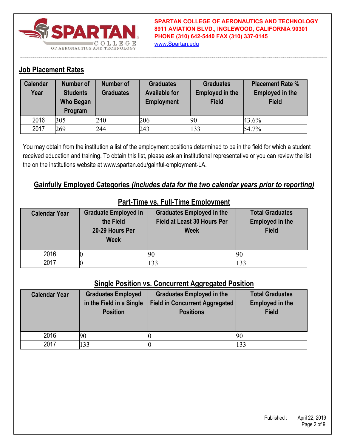

**SPARTAN COLLEGE OF AERONAUTICS AND TECHNOLOGY 8911 AVIATION BLVD., INGLEWOOD, CALIFORNIA 90301 PHONE (310) 642-5440 FAX (310) 337-0145** www.Spartan.edu

#### **Job Placement Rates**

| <b>Calendar</b><br>Year | <b>Number of</b><br><b>Students</b><br>Who Began<br>Program | <b>Number of</b><br><b>Graduates</b> | <b>Graduates</b><br><b>Available for</b><br><b>Employment</b> | <b>Graduates</b><br><b>Employed in the</b><br><b>Field</b> | <b>Placement Rate %</b><br><b>Employed in the</b><br><b>Field</b> |
|-------------------------|-------------------------------------------------------------|--------------------------------------|---------------------------------------------------------------|------------------------------------------------------------|-------------------------------------------------------------------|
| 2016                    | 305                                                         | 240                                  | 206                                                           | 90                                                         | 43.6%                                                             |
| 2017                    | 269                                                         | 244                                  | 243                                                           | 133                                                        | 54.7%                                                             |

You may obtain from the institution a list of the employment positions determined to be in the field for which a student received education and training. To obtain this list, please ask an institutional representative or you can review the list the on the institutions website at www.spartan.edu/gainful-employment-LA.

#### **Gainfully Employed Categories** *(includes data for the two calendar years prior to reporting)*

| <b>Calendar Year</b> | <b>Graduate Employed in</b><br>the Field<br>20-29 Hours Per<br><b>Week</b> | <b>Graduates Employed in the</b><br>Field at Least 30 Hours Per<br><b>Week</b> | <b>Total Graduates</b><br><b>Employed in the</b><br><b>Field</b> |
|----------------------|----------------------------------------------------------------------------|--------------------------------------------------------------------------------|------------------------------------------------------------------|
| 2016                 |                                                                            |                                                                                |                                                                  |
| 2017                 |                                                                            | 133                                                                            | 133                                                              |

#### **Part-Time vs. Full-Time Employment**

#### **Single Position vs. Concurrent Aggregated Position**

| <b>Calendar Year</b> | <b>Graduates Employed</b><br>in the Field in a Single<br><b>Position</b> | <b>Graduates Employed in the</b><br><b>Field in Concurrent Aggregated</b><br><b>Positions</b> | <b>Total Graduates</b><br><b>Employed in the</b><br><b>Field</b> |
|----------------------|--------------------------------------------------------------------------|-----------------------------------------------------------------------------------------------|------------------------------------------------------------------|
| 2016                 | 90                                                                       |                                                                                               |                                                                  |
| 2017                 | 133                                                                      |                                                                                               | 133                                                              |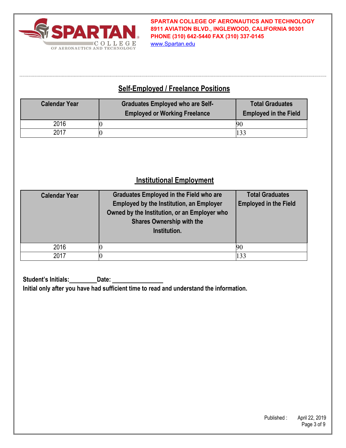

**SPARTAN COLLEGE OF AERONAUTICS AND TECHNOLOGY 8911 AVIATION BLVD., INGLEWOOD, CALIFORNIA 90301 PHONE (310) 642-5440 FAX (310) 337-0145** www.Spartan.edu

## **Self-Employed / Freelance Positions**

| <b>Calendar Year</b> | <b>Graduates Employed who are Self-</b><br><b>Employed or Working Freelance</b> | <b>Total Graduates</b><br><b>Employed in the Field</b> |
|----------------------|---------------------------------------------------------------------------------|--------------------------------------------------------|
| 2016                 |                                                                                 | 90                                                     |
| 2017                 |                                                                                 |                                                        |

#### **Institutional Employment**

| <b>Calendar Year</b> | <b>Graduates Employed in the Field who are</b><br><b>Employed by the Institution, an Employer</b><br>Owned by the Institution, or an Employer who<br><b>Shares Ownership with the</b><br>Institution. | <b>Total Graduates</b><br><b>Employed in the Field</b> |
|----------------------|-------------------------------------------------------------------------------------------------------------------------------------------------------------------------------------------------------|--------------------------------------------------------|
| 2016                 |                                                                                                                                                                                                       |                                                        |
| 2017                 |                                                                                                                                                                                                       | 133                                                    |

**Student's Initials: Date: Initial only after you have had sufficient time to read and understand the information.**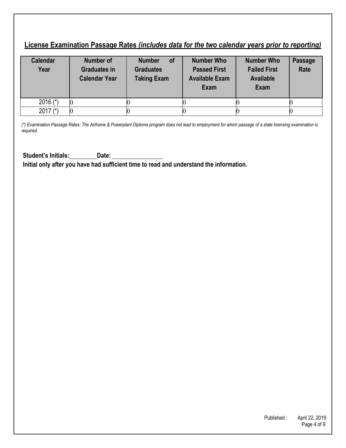### **License Examination Passage Rates** *(includes data for the two calendar years prior to reporting)*

| <b>Calendar</b><br>Year | <b>Number of</b><br><b>Graduates in</b><br><b>Calendar Year</b> | <b>of</b><br><b>Number</b><br><b>Graduates</b><br><b>Taking Exam</b> | <b>Number Who</b><br><b>Passed First</b><br><b>Available Exam</b><br><b>Exam</b> | <b>Number Who</b><br><b>Failed First</b><br><b>Available</b><br><b>Exam</b> | Passage<br><b>Rate</b> |
|-------------------------|-----------------------------------------------------------------|----------------------------------------------------------------------|----------------------------------------------------------------------------------|-----------------------------------------------------------------------------|------------------------|
| 2016 $(*)$              |                                                                 |                                                                      |                                                                                  |                                                                             |                        |
| 2017 $(*)$              |                                                                 |                                                                      |                                                                                  |                                                                             |                        |

*(\*) Examination Passage Rates: The Airframe & Powerplant Diploma program does not lead to employment for which passage of a state licensing examination is required.* 

Student's Initials: Date: **Initial only after you have had sufficient time to read and understand the information.** 

> Published : April 22, 2019 Page 4 of 9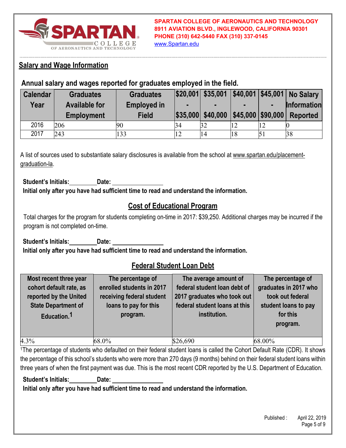

### **Salary and Wage Information**

#### **Annual salary and wages reported for graduates employed in the field.**

| <b>Calendar</b> | <b>Graduates</b>     | <b>Graduates</b>   |            | $ $20,001 $ \$35,001 |                          |    | \$40,001 \$45,001 No Salary |
|-----------------|----------------------|--------------------|------------|----------------------|--------------------------|----|-----------------------------|
| Year            | <b>Available for</b> | <b>Employed in</b> |            |                      |                          |    | <b>Information</b>          |
|                 | <b>Employment</b>    | <b>Field</b>       |            | \$35,000 \$40,000    | $ $45,000$ $$90,000$ $ $ |    | <b>Reported</b>             |
| 2016            | 206                  | 90                 | 34         | 32                   | 12                       | 12 |                             |
| 2017            | 243                  | 133                | $\sqrt{2}$ | 14                   | 18                       |    | 38                          |

A list of sources used to substantiate salary disclosures is available from the school at www.spartan.edu/placementgraduation-la.

**Student's Initials: Date: Initial only after you have had sufficient time to read and understand the information.** 

## **Cost of Educational Program**

Total charges for the program for students completing on-time in 2017: \$39,250. Additional charges may be incurred if the program is not completed on-time.

**Student's Initials: Date: Initial only after you have had sufficient time to read and understand the information.** 

#### **Federal Student Loan Debt**

| Most recent three year<br>cohort default rate, as<br>reported by the United<br><b>State Department of</b><br>Education. <sup>1</sup> | The percentage of<br>enrolled students in 2017<br>receiving federal student<br>loans to pay for this<br>program. | The average amount of<br>federal student loan debt of<br>2017 graduates who took out<br>federal student loans at this<br>institution. | The percentage of<br>graduates in 2017 who<br>took out federal<br>student loans to pay<br>for this<br>program. |
|--------------------------------------------------------------------------------------------------------------------------------------|------------------------------------------------------------------------------------------------------------------|---------------------------------------------------------------------------------------------------------------------------------------|----------------------------------------------------------------------------------------------------------------|
| 4.3%                                                                                                                                 | 68.0%                                                                                                            | \$26,690                                                                                                                              | 68.00%                                                                                                         |

1The percentage of students who defaulted on their federal student loans is called the Cohort Default Rate (CDR). It shows the percentage of this school's students who were more than 270 days (9 months) behind on their federal student loans within three years of when the first payment was due. This is the most recent CDR reported by the U.S. Department of Education.

**Student's Initials: Date:** 

**Initial only after you have had sufficient time to read and understand the information.**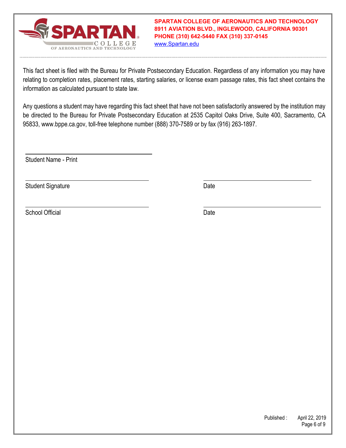

**SPARTAN COLLEGE OF AERONAUTICS AND TECHNOLOGY 8911 AVIATION BLVD., INGLEWOOD, CALIFORNIA 90301 PHONE (310) 642-5440 FAX (310) 337-0145** www.Spartan.edu

This fact sheet is filed with the Bureau for Private Postsecondary Education. Regardless of any information you may have relating to completion rates, placement rates, starting salaries, or license exam passage rates, this fact sheet contains the information as calculated pursuant to state law.

Any questions a student may have regarding this fact sheet that have not been satisfactorily answered by the institution may be directed to the Bureau for Private Postsecondary Education at 2535 Capitol Oaks Drive, Suite 400, Sacramento, CA 95833, www.bppe.ca.gov, toll-free telephone number (888) 370-7589 or by fax (916) 263-1897.

Student Name - Print

Student Signature Date Date Controller and Date Date Date

School Official Date Date Contract Contract Contract Contract Contract Contract Contract Contract Contract Contract Contract Contract Contract Contract Contract Contract Contract Contract Contract Contract Contract Contrac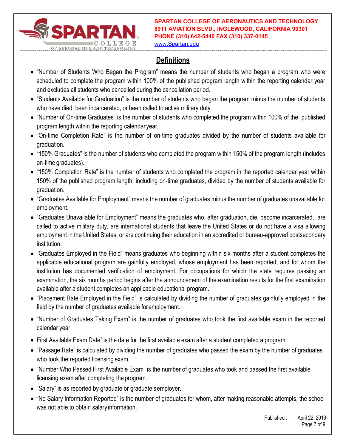

**SPARTAN COLLEGE OF AERONAUTICS AND TECHNOLOGY 8911 AVIATION BLVD., INGLEWOOD, CALIFORNIA 90301 PHONE (310) 642-5440 FAX (310) 337-0145**

www.Spartan.edu

# **Definitions**

- "Number of Students Who Began the Program" means the number of students who began a program who were scheduled to complete the program within 100% of the published program length within the reporting calendar year and excludes all students who cancelled during the cancellation period.
- "Students Available for Graduation" is the number of students who began the program minus the number of students who have died, been incarcerated, or been called to active military duty.
- "Number of On-time Graduates" is the number of students who completed the program within 100% of the published program length within the reporting calendar year.
- "On-time Completion Rate" is the number of on-time graduates divided by the number of students available for graduation.
- "150% Graduates" is the number of students who completed the program within 150% of the program length (includes on-time graduates).
- "150% Completion Rate" is the number of students who completed the program in the reported calendar year within 150% of the published program length, including on-time graduates, divided by the number of students available for graduation.
- "Graduates Available for Employment" means the number of graduates minus the number of graduates unavailable for employment.
- "Graduates Unavailable for Employment" means the graduates who, after graduation, die, become incarcerated, are called to active military duty, are international students that leave the United States or do not have a visa allowing employment in the United States, or are continuing their education in an accredited or bureau-approved postsecondary institution.
- "Graduates Employed in the Field" means graduates who beginning within six months after a student completes the applicable educational program are gainfully employed, whose employment has been reported, and for whom the institution has documented verification of employment. For occupations for which the state requires passing an examination, the six months period begins after the announcement of the examination results for the first examination available after a student completes an applicable educational program.
- "Placement Rate Employed in the Field" is calculated by dividing the number of graduates gainfully employed in the field by the number of graduates available for employment.
- "Number of Graduates Taking Exam" is the number of graduates who took the first available exam in the reported calendar year.
- First Available Exam Date" is the date for the first available exam after a student completed a program.
- "Passage Rate" is calculated by dividing the number of graduates who passed the exam by the number of graduates who took the reported licensing exam.
- "Number Who Passed First Available Exam" is the number of graduates who took and passed the first available licensing exam after completing the program.
- "Salary" is as reported by graduate or graduate's employer.
- "No Salary Information Reported" is the number of graduates for whom, after making reasonable attempts, the school was not able to obtain salary information.